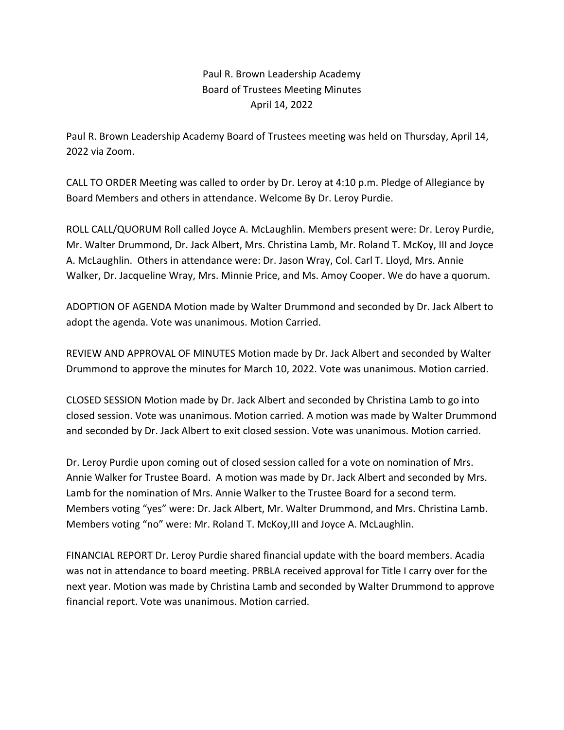## Paul R. Brown Leadership Academy Board of Trustees Meeting Minutes April 14, 2022

Paul R. Brown Leadership Academy Board of Trustees meeting was held on Thursday, April 14, 2022 via Zoom.

CALL TO ORDER Meeting was called to order by Dr. Leroy at 4:10 p.m. Pledge of Allegiance by Board Members and others in attendance. Welcome By Dr. Leroy Purdie.

ROLL CALL/QUORUM Roll called Joyce A. McLaughlin. Members present were: Dr. Leroy Purdie, Mr. Walter Drummond, Dr. Jack Albert, Mrs. Christina Lamb, Mr. Roland T. McKoy, III and Joyce A. McLaughlin. Others in attendance were: Dr. Jason Wray, Col. Carl T. Lloyd, Mrs. Annie Walker, Dr. Jacqueline Wray, Mrs. Minnie Price, and Ms. Amoy Cooper. We do have a quorum.

ADOPTION OF AGENDA Motion made by Walter Drummond and seconded by Dr. Jack Albert to adopt the agenda. Vote was unanimous. Motion Carried.

REVIEW AND APPROVAL OF MINUTES Motion made by Dr. Jack Albert and seconded by Walter Drummond to approve the minutes for March 10, 2022. Vote was unanimous. Motion carried.

CLOSED SESSION Motion made by Dr. Jack Albert and seconded by Christina Lamb to go into closed session. Vote was unanimous. Motion carried. A motion was made by Walter Drummond and seconded by Dr. Jack Albert to exit closed session. Vote was unanimous. Motion carried.

Dr. Leroy Purdie upon coming out of closed session called for a vote on nomination of Mrs. Annie Walker for Trustee Board. A motion was made by Dr. Jack Albert and seconded by Mrs. Lamb for the nomination of Mrs. Annie Walker to the Trustee Board for a second term. Members voting "yes" were: Dr. Jack Albert, Mr. Walter Drummond, and Mrs. Christina Lamb. Members voting "no" were: Mr. Roland T. McKoy,III and Joyce A. McLaughlin.

FINANCIAL REPORT Dr. Leroy Purdie shared financial update with the board members. Acadia was not in attendance to board meeting. PRBLA received approval for Title I carry over for the next year. Motion was made by Christina Lamb and seconded by Walter Drummond to approve financial report. Vote was unanimous. Motion carried.